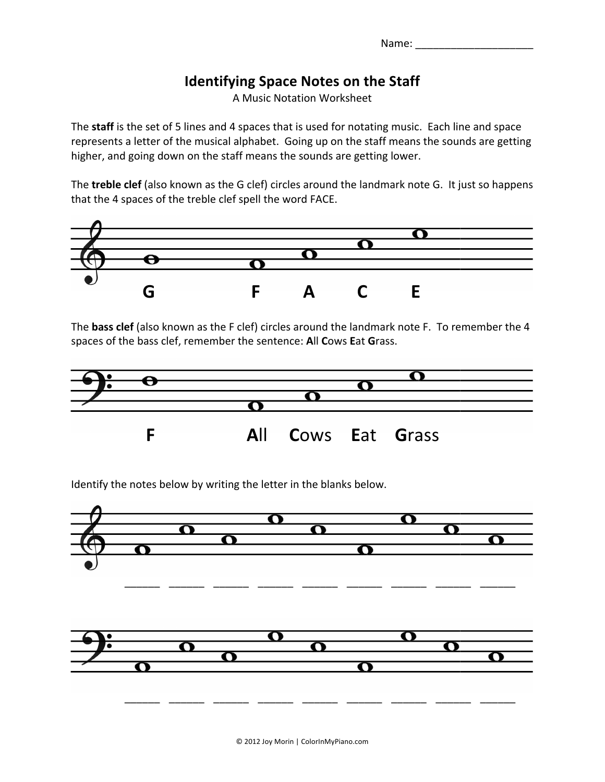## **Identifying Space Notes on the Staff**

A Music Notation Worksheet

The **staff** is the set of 5 lines and 4 spaces that is used for notating music. Each line and space represents a letter of the musical alphabet. Going up on the staff means the sounds are getting higher, and going down on the staff means the sounds are getting lower.

The **treble clef** (also known as the G clef) circles around the landmark note G. It just so happens that the 4 spaces of the treble clef spell the word FACE.



The **bass clef** (also known as the F clef) circles around the landmark note F. To remember the 4 spaces of the bass clef, remember the sentence: All Cows Eat Grass.



Identify the notes below by writing the letter in the blanks below.